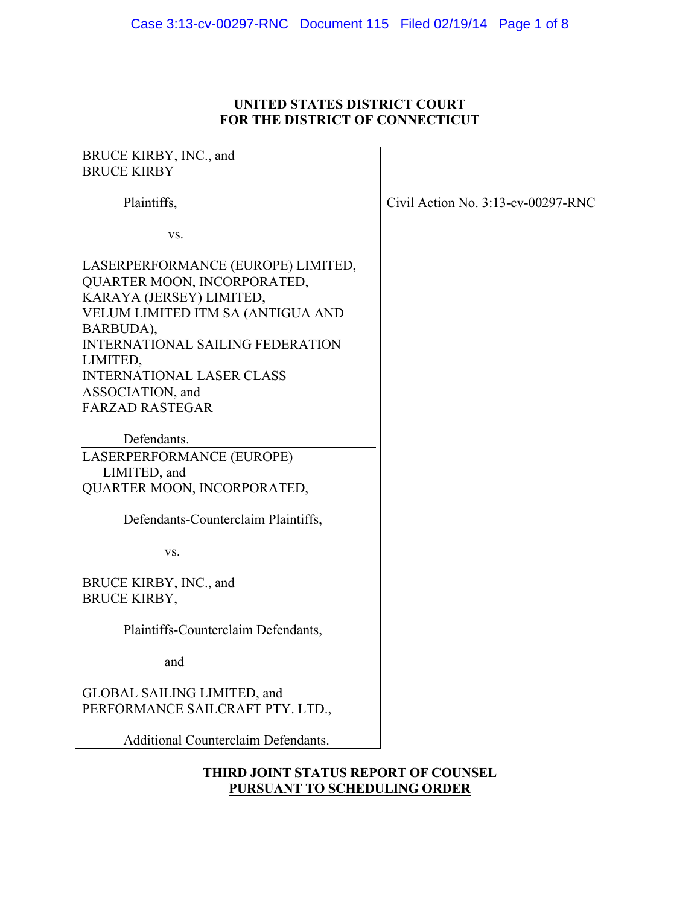## **UNITED STATES DISTRICT COURT FOR THE DISTRICT OF CONNECTICUT**

# BRUCE KIRBY, INC., and BRUCE KIRBY Plaintiffs, vs. LASERPERFORMANCE (EUROPE) LIMITED, QUARTER MOON, INCORPORATED, KARAYA (JERSEY) LIMITED, VELUM LIMITED ITM SA (ANTIGUA AND BARBUDA), INTERNATIONAL SAILING FEDERATION LIMITED, INTERNATIONAL LASER CLASS ASSOCIATION, and FARZAD RASTEGAR Defendants. LASERPERFORMANCE (EUROPE) LIMITED, and QUARTER MOON, INCORPORATED, Defendants-Counterclaim Plaintiffs, vs. BRUCE KIRBY, INC., and BRUCE KIRBY, Plaintiffs-Counterclaim Defendants, and GLOBAL SAILING LIMITED, and PERFORMANCE SAILCRAFT PTY. LTD., Additional Counterclaim Defendants.

Civil Action No. 3:13-cv-00297-RNC

## **THIRD JOINT STATUS REPORT OF COUNSEL PURSUANT TO SCHEDULING ORDER**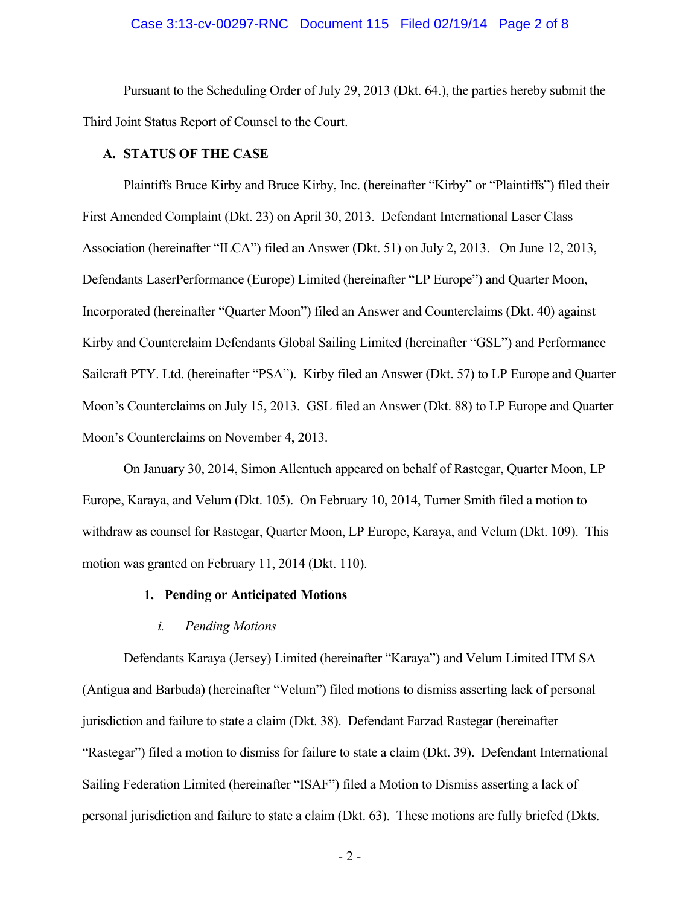#### Case 3:13-cv-00297-RNC Document 115 Filed 02/19/14 Page 2 of 8

 Pursuant to the Scheduling Order of July 29, 2013 (Dkt. 64.), the parties hereby submit the Third Joint Status Report of Counsel to the Court.

#### **A. STATUS OF THE CASE**

Plaintiffs Bruce Kirby and Bruce Kirby, Inc. (hereinafter "Kirby" or "Plaintiffs") filed their First Amended Complaint (Dkt. 23) on April 30, 2013. Defendant International Laser Class Association (hereinafter "ILCA") filed an Answer (Dkt. 51) on July 2, 2013. On June 12, 2013, Defendants LaserPerformance (Europe) Limited (hereinafter "LP Europe") and Quarter Moon, Incorporated (hereinafter "Quarter Moon") filed an Answer and Counterclaims (Dkt. 40) against Kirby and Counterclaim Defendants Global Sailing Limited (hereinafter "GSL") and Performance Sailcraft PTY. Ltd. (hereinafter "PSA"). Kirby filed an Answer (Dkt. 57) to LP Europe and Quarter Moon's Counterclaims on July 15, 2013. GSL filed an Answer (Dkt. 88) to LP Europe and Quarter Moon's Counterclaims on November 4, 2013.

On January 30, 2014, Simon Allentuch appeared on behalf of Rastegar, Quarter Moon, LP Europe, Karaya, and Velum (Dkt. 105). On February 10, 2014, Turner Smith filed a motion to withdraw as counsel for Rastegar, Quarter Moon, LP Europe, Karaya, and Velum (Dkt. 109). This motion was granted on February 11, 2014 (Dkt. 110).

#### **1. Pending or Anticipated Motions**

#### *i. Pending Motions*

 Defendants Karaya (Jersey) Limited (hereinafter "Karaya") and Velum Limited ITM SA (Antigua and Barbuda) (hereinafter "Velum") filed motions to dismiss asserting lack of personal jurisdiction and failure to state a claim (Dkt. 38). Defendant Farzad Rastegar (hereinafter "Rastegar") filed a motion to dismiss for failure to state a claim (Dkt. 39). Defendant International Sailing Federation Limited (hereinafter "ISAF") filed a Motion to Dismiss asserting a lack of personal jurisdiction and failure to state a claim (Dkt. 63). These motions are fully briefed (Dkts.

- 2 -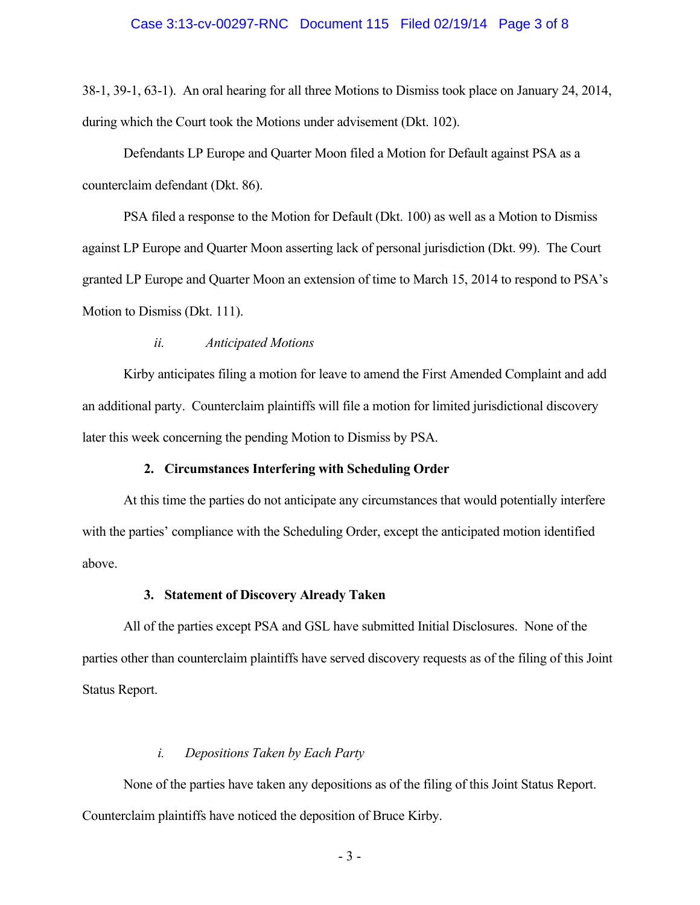#### Case 3:13-cv-00297-RNC Document 115 Filed 02/19/14 Page 3 of 8

38-1, 39-1, 63-1). An oral hearing for all three Motions to Dismiss took place on January 24, 2014, during which the Court took the Motions under advisement (Dkt. 102).

 Defendants LP Europe and Quarter Moon filed a Motion for Default against PSA as a counterclaim defendant (Dkt. 86).

 PSA filed a response to the Motion for Default (Dkt. 100) as well as a Motion to Dismiss against LP Europe and Quarter Moon asserting lack of personal jurisdiction (Dkt. 99). The Court granted LP Europe and Quarter Moon an extension of time to March 15, 2014 to respond to PSA's Motion to Dismiss (Dkt. 111).

#### *ii. Anticipated Motions*

 Kirby anticipates filing a motion for leave to amend the First Amended Complaint and add an additional party. Counterclaim plaintiffs will file a motion for limited jurisdictional discovery later this week concerning the pending Motion to Dismiss by PSA.

#### **2. Circumstances Interfering with Scheduling Order**

 At this time the parties do not anticipate any circumstances that would potentially interfere with the parties' compliance with the Scheduling Order, except the anticipated motion identified above.

#### **3. Statement of Discovery Already Taken**

 All of the parties except PSA and GSL have submitted Initial Disclosures. None of the parties other than counterclaim plaintiffs have served discovery requests as of the filing of this Joint Status Report.

#### *i. Depositions Taken by Each Party*

None of the parties have taken any depositions as of the filing of this Joint Status Report. Counterclaim plaintiffs have noticed the deposition of Bruce Kirby.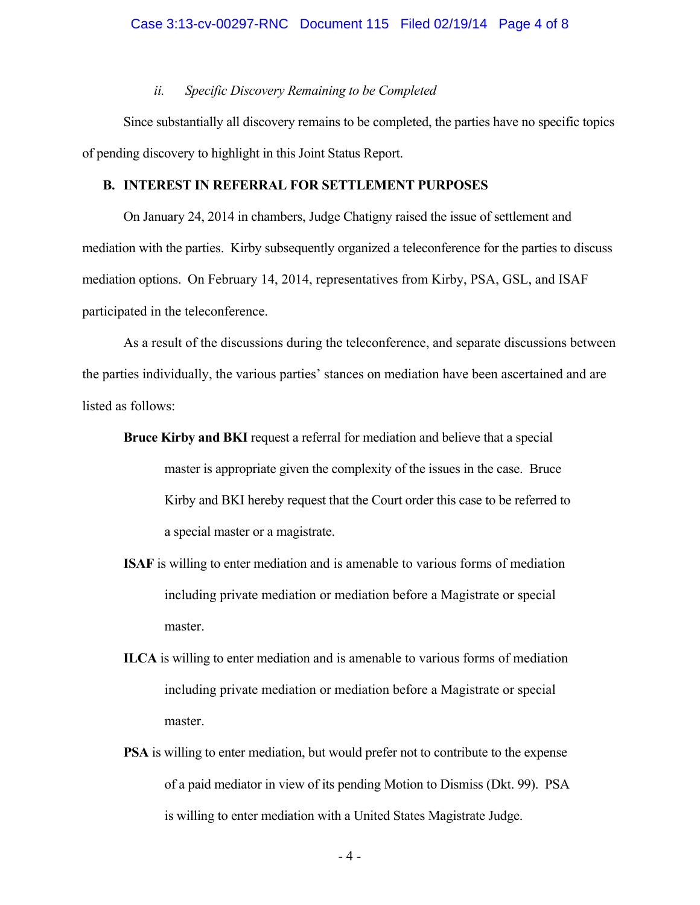#### *ii. Specific Discovery Remaining to be Completed*

 Since substantially all discovery remains to be completed, the parties have no specific topics of pending discovery to highlight in this Joint Status Report.

#### **B. INTEREST IN REFERRAL FOR SETTLEMENT PURPOSES**

 On January 24, 2014 in chambers, Judge Chatigny raised the issue of settlement and mediation with the parties. Kirby subsequently organized a teleconference for the parties to discuss mediation options. On February 14, 2014, representatives from Kirby, PSA, GSL, and ISAF participated in the teleconference.

 As a result of the discussions during the teleconference, and separate discussions between the parties individually, the various parties' stances on mediation have been ascertained and are listed as follows:

- **Bruce Kirby and BKI** request a referral for mediation and believe that a special master is appropriate given the complexity of the issues in the case. Bruce Kirby and BKI hereby request that the Court order this case to be referred to a special master or a magistrate.
- **ISAF** is willing to enter mediation and is amenable to various forms of mediation including private mediation or mediation before a Magistrate or special master.
- **ILCA** is willing to enter mediation and is amenable to various forms of mediation including private mediation or mediation before a Magistrate or special master.
- **PSA** is willing to enter mediation, but would prefer not to contribute to the expense of a paid mediator in view of its pending Motion to Dismiss (Dkt. 99). PSA is willing to enter mediation with a United States Magistrate Judge.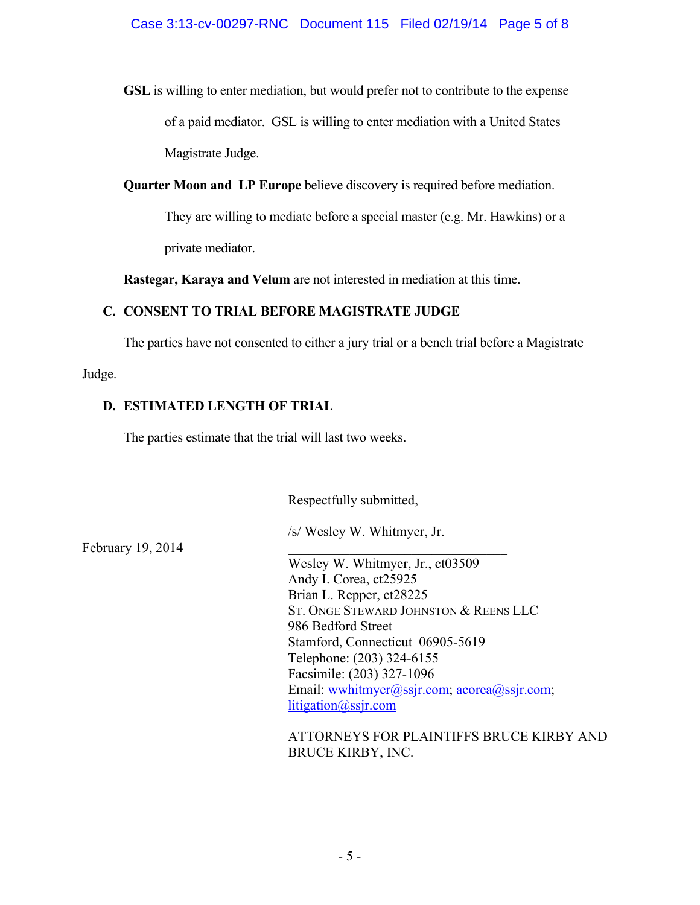**GSL** is willing to enter mediation, but would prefer not to contribute to the expense of a paid mediator. GSL is willing to enter mediation with a United States Magistrate Judge.

**Quarter Moon and LP Europe** believe discovery is required before mediation.

They are willing to mediate before a special master (e.g. Mr. Hawkins) or a private mediator.

**Rastegar, Karaya and Velum** are not interested in mediation at this time.

# **C. CONSENT TO TRIAL BEFORE MAGISTRATE JUDGE**

The parties have not consented to either a jury trial or a bench trial before a Magistrate

Judge.

## **D. ESTIMATED LENGTH OF TRIAL**

The parties estimate that the trial will last two weeks.

Respectfully submitted,

February 19, 2014

/s/ Wesley W. Whitmyer, Jr.

 Wesley W. Whitmyer, Jr., ct03509 Andy I. Corea, ct25925 Brian L. Repper, ct28225 ST. ONGE STEWARD JOHNSTON & REENS LLC 986 Bedford Street Stamford, Connecticut 06905-5619 Telephone: (203) 324-6155 Facsimile: (203) 327-1096 Email: wwhitmyer@ssjr.com; acorea@ssjr.com; litigation@ssjr.com

 ATTORNEYS FOR PLAINTIFFS BRUCE KIRBY AND BRUCE KIRBY, INC.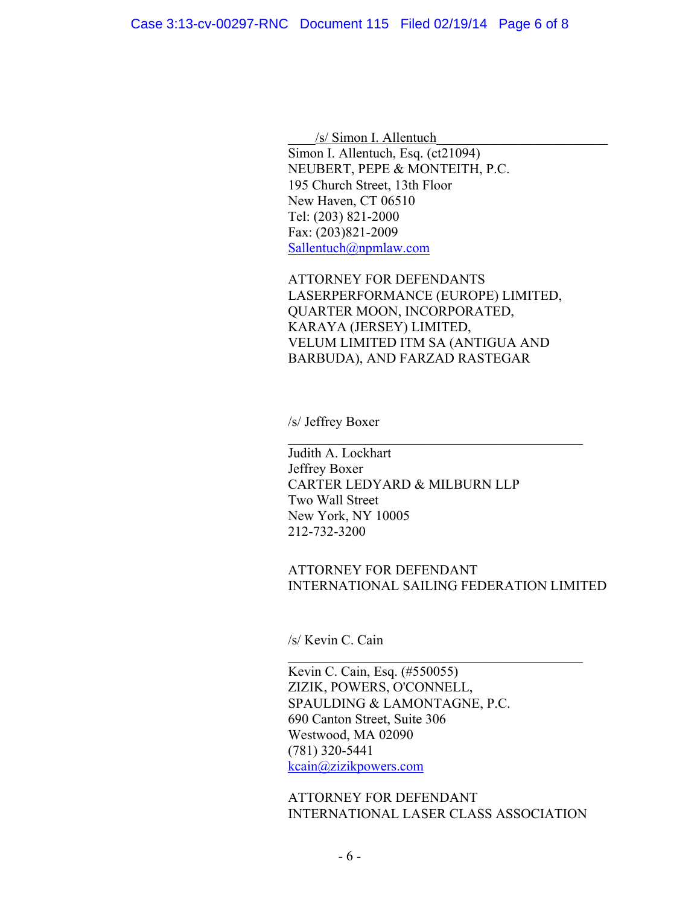$/s/$  Simon I. Allentuch Simon I. Allentuch, Esq. (ct21094) NEUBERT, PEPE & MONTEITH, P.C. 195 Church Street, 13th Floor New Haven, CT 06510 Tel: (203) 821-2000 Fax: (203)821-2009 Sallentuch@npmlaw.com

ATTORNEY FOR DEFENDANTS LASERPERFORMANCE (EUROPE) LIMITED, QUARTER MOON, INCORPORATED, KARAYA (JERSEY) LIMITED, VELUM LIMITED ITM SA (ANTIGUA AND BARBUDA), AND FARZAD RASTEGAR

 $\mathcal{L}_\text{max}$  , and the set of the set of the set of the set of the set of the set of the set of the set of the set of the set of the set of the set of the set of the set of the set of the set of the set of the set of the

/s/ Jeffrey Boxer

Judith A. Lockhart Jeffrey Boxer CARTER LEDYARD & MILBURN LLP Two Wall Street New York, NY 10005 212-732-3200

### ATTORNEY FOR DEFENDANT INTERNATIONAL SAILING FEDERATION LIMITED

 $\mathcal{L}_\text{max}$  , and the set of the set of the set of the set of the set of the set of the set of the set of the set of the set of the set of the set of the set of the set of the set of the set of the set of the set of the

/s/ Kevin C. Cain

Kevin C. Cain, Esq. (#550055) ZIZIK, POWERS, O'CONNELL, SPAULDING & LAMONTAGNE, P.C. 690 Canton Street, Suite 306 Westwood, MA 02090 (781) 320-5441 kcain@zizikpowers.com

ATTORNEY FOR DEFENDANT INTERNATIONAL LASER CLASS ASSOCIATION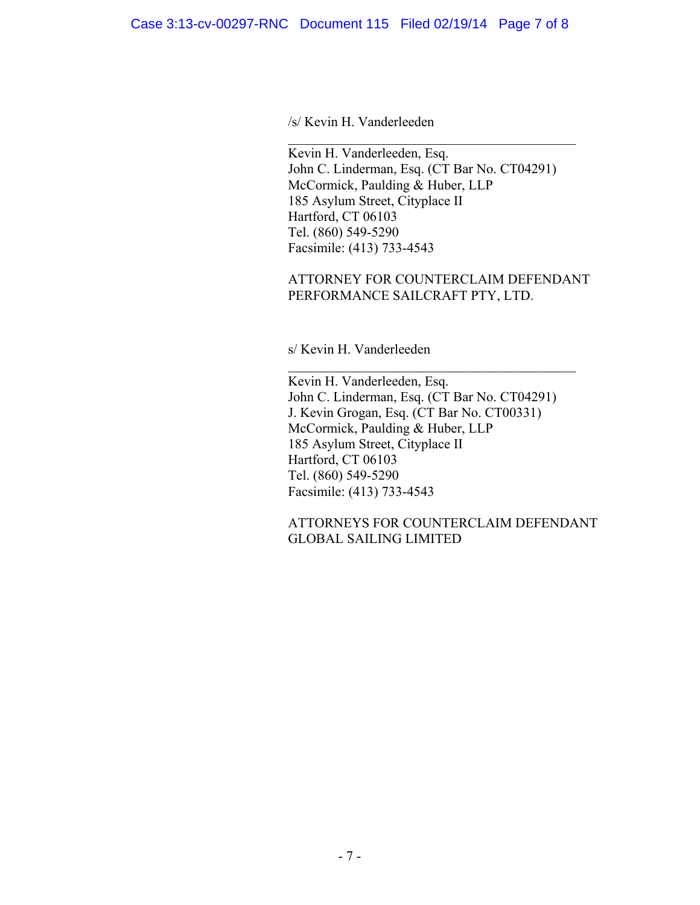/s/ Kevin H. Vanderleeden

Kevin H. Vanderleeden, Esq. John C. Linderman, Esq. (CT Bar No. CT04291) McCormick, Paulding & Huber, LLP 185 Asylum Street, Cityplace II Hartford, CT 06103 Tel. (860) 549-5290 Facsimile: (413) 733-4543

 $\mathcal{L}_\mathcal{L} = \mathcal{L}_\mathcal{L} = \mathcal{L}_\mathcal{L} = \mathcal{L}_\mathcal{L} = \mathcal{L}_\mathcal{L} = \mathcal{L}_\mathcal{L} = \mathcal{L}_\mathcal{L} = \mathcal{L}_\mathcal{L} = \mathcal{L}_\mathcal{L} = \mathcal{L}_\mathcal{L} = \mathcal{L}_\mathcal{L} = \mathcal{L}_\mathcal{L} = \mathcal{L}_\mathcal{L} = \mathcal{L}_\mathcal{L} = \mathcal{L}_\mathcal{L} = \mathcal{L}_\mathcal{L} = \mathcal{L}_\mathcal{L}$ 

## ATTORNEY FOR COUNTERCLAIM DEFENDANT PERFORMANCE SAILCRAFT PTY, LTD.

s/ Kevin H. Vanderleeden

Kevin H. Vanderleeden, Esq. John C. Linderman, Esq. (CT Bar No. CT04291) J. Kevin Grogan, Esq. (CT Bar No. CT00331) McCormick, Paulding & Huber, LLP 185 Asylum Street, Cityplace II Hartford, CT 06103 Tel. (860) 549-5290 Facsimile: (413) 733-4543

 $\mathcal{L}_\mathcal{L} = \mathcal{L}_\mathcal{L} = \mathcal{L}_\mathcal{L} = \mathcal{L}_\mathcal{L} = \mathcal{L}_\mathcal{L} = \mathcal{L}_\mathcal{L} = \mathcal{L}_\mathcal{L} = \mathcal{L}_\mathcal{L} = \mathcal{L}_\mathcal{L} = \mathcal{L}_\mathcal{L} = \mathcal{L}_\mathcal{L} = \mathcal{L}_\mathcal{L} = \mathcal{L}_\mathcal{L} = \mathcal{L}_\mathcal{L} = \mathcal{L}_\mathcal{L} = \mathcal{L}_\mathcal{L} = \mathcal{L}_\mathcal{L}$ 

ATTORNEYS FOR COUNTERCLAIM DEFENDANT GLOBAL SAILING LIMITED